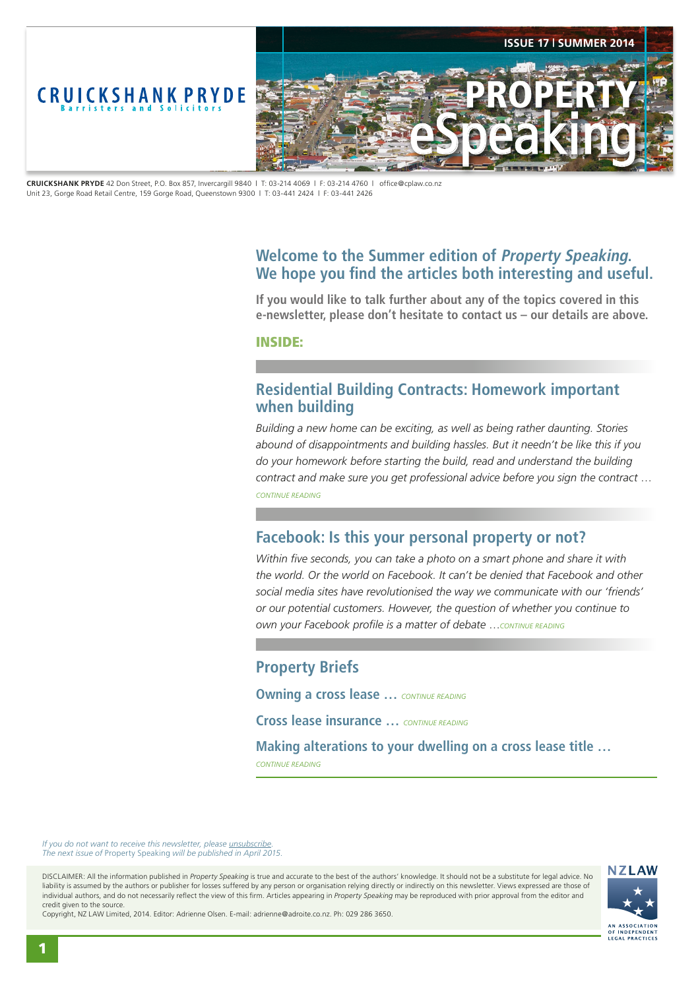<span id="page-0-0"></span>

**CRUICKSHANK PRYDE** 42 Don Street, P.O. Box 857, Invercargill 9840 | T: 03-214 4069 | F: 03-214 4760 | office@cplaw.co.nz Unit 23, Gorge Road Retail Centre, 159 Gorge Road, Queenstown 9300 | T: 03-441 2424 | F: 03-441 2426

# **Welcome to the Summer edition of Property Speaking. We hope you find the articles both interesting and useful.**

**If you would like to talk further about any of the topics covered in this e-newsletter, please don't hesitate to contact us – our details are above.**

INSIDE:

# **Residential Building Contracts: Homework important when building**

*Building a new home can be exciting, as well as being rather daunting. Stories abound of disappointments and building hassles. But it needn't be like this if you do your homework before starting the build, read and understand the building contract and make sure you get professional advice before you sign the contract* … *[CONTINUE READING](#page-1-0)*

# **Facebook: Is this your personal property or not?**

*Within five seconds, you can take a photo on a smart phone and share it with the world. Or the world on Facebook. It can't be denied that Facebook and other social media sites have revolutionised the way we communicate with our 'friends' or our potential customers. However, the question of whether you continue to own your Facebook profile is a matter of debate* …*[CONTINUE READING](#page-2-0)*

# **Property Briefs**

**Owning a cross lease …** *[CONTINUE READING](#page-3-0)*

**Cross lease insurance …** *[CONTINUE READING](#page-3-0)*

**Making alterations to your dwelling on a cross lease title …**  *[CONTINUE READING](#page-3-0)*

*If you do not want to receive this newsletter, please <i>unsubscribe The next issue of* Property Speaking *will be published in April 2015.* 

DISCLAIMER: All the information published in *Property Speaking* is true and accurate to the best of the authors' knowledge. It should not be a substitute for legal advice. No liability is assumed by the authors or publisher for losses suffered by any person or organisation relying directly or indirectly on this newsletter. Views expressed are those of individual authors, and do not necessarily reflect the view of this firm. Articles appearing in *Property Speaking* may be reproduced with prior approval from the editor and credit given to the source.



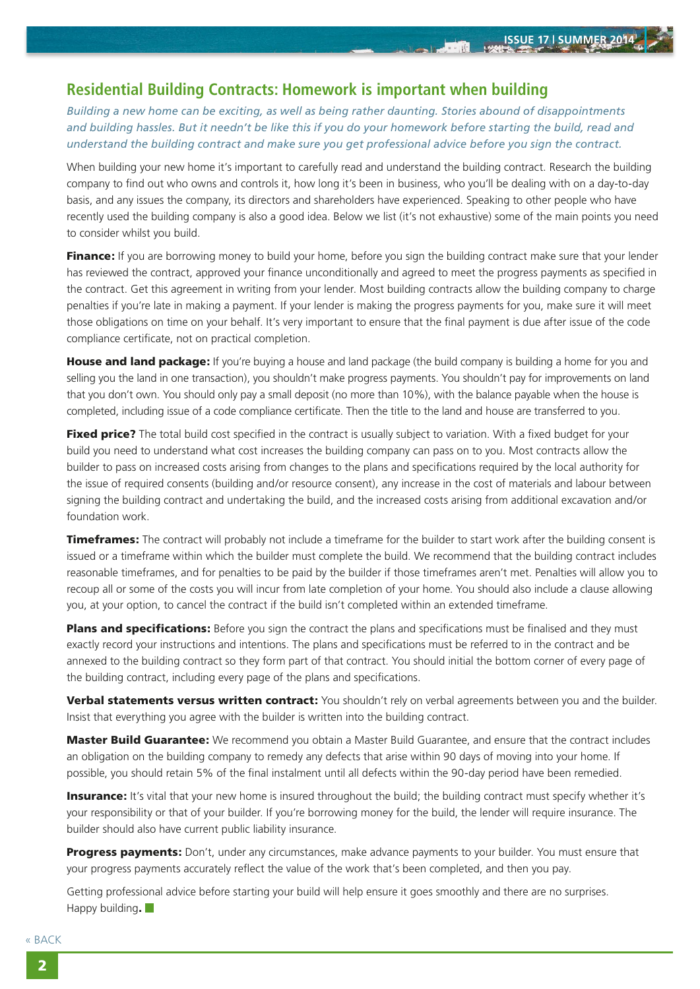**STATE** 

# <span id="page-1-0"></span>**Residential Building Contracts: Homework is important when building**

*Building a new home can be exciting, as well as being rather daunting. Stories abound of disappointments*  and building hassles. But it needn't be like this if you do your homework before starting the build, read and *understand the building contract and make sure you get professional advice before you sign the contract.*

When building your new home it's important to carefully read and understand the building contract. Research the building company to find out who owns and controls it, how long it's been in business, who you'll be dealing with on a day-to-day basis, and any issues the company, its directors and shareholders have experienced. Speaking to other people who have recently used the building company is also a good idea. Below we list (it's not exhaustive) some of the main points you need to consider whilst you build.

**Finance:** If you are borrowing money to build your home, before you sign the building contract make sure that your lender has reviewed the contract, approved your finance unconditionally and agreed to meet the progress payments as specified in the contract. Get this agreement in writing from your lender. Most building contracts allow the building company to charge penalties if you're late in making a payment. If your lender is making the progress payments for you, make sure it will meet those obligations on time on your behalf. It's very important to ensure that the final payment is due after issue of the code compliance certificate, not on practical completion.

House and land package: If you're buying a house and land package (the build company is building a home for you and selling you the land in one transaction), you shouldn't make progress payments. You shouldn't pay for improvements on land that you don't own. You should only pay a small deposit (no more than 10%), with the balance payable when the house is completed, including issue of a code compliance certificate. Then the title to the land and house are transferred to you.

**Fixed price?** The total build cost specified in the contract is usually subject to variation. With a fixed budget for your build you need to understand what cost increases the building company can pass on to you. Most contracts allow the builder to pass on increased costs arising from changes to the plans and specifications required by the local authority for the issue of required consents (building and/or resource consent), any increase in the cost of materials and labour between signing the building contract and undertaking the build, and the increased costs arising from additional excavation and/or foundation work.

**Timeframes:** The contract will probably not include a timeframe for the builder to start work after the building consent is issued or a timeframe within which the builder must complete the build. We recommend that the building contract includes reasonable timeframes, and for penalties to be paid by the builder if those timeframes aren't met. Penalties will allow you to recoup all or some of the costs you will incur from late completion of your home. You should also include a clause allowing you, at your option, to cancel the contract if the build isn't completed within an extended timeframe.

Plans and specifications: Before you sign the contract the plans and specifications must be finalised and they must exactly record your instructions and intentions. The plans and specifications must be referred to in the contract and be annexed to the building contract so they form part of that contract. You should initial the bottom corner of every page of the building contract, including every page of the plans and specifications.

Verbal statements versus written contract: You shouldn't rely on verbal agreements between you and the builder. Insist that everything you agree with the builder is written into the building contract.

**Master Build Guarantee:** We recommend you obtain a Master Build Guarantee, and ensure that the contract includes an obligation on the building company to remedy any defects that arise within 90 days of moving into your home. If possible, you should retain 5% of the final instalment until all defects within the 90-day period have been remedied.

Insurance: It's vital that your new home is insured throughout the build; the building contract must specify whether it's your responsibility or that of your builder. If you're borrowing money for the build, the lender will require insurance. The builder should also have current public liability insurance.

Progress payments: Don't, under any circumstances, make advance payments to your builder. You must ensure that your progress payments accurately reflect the value of the work that's been completed, and then you pay.

Getting professional advice before starting your build will help ensure it goes smoothly and there are no surprises. Happy building.  $\Box$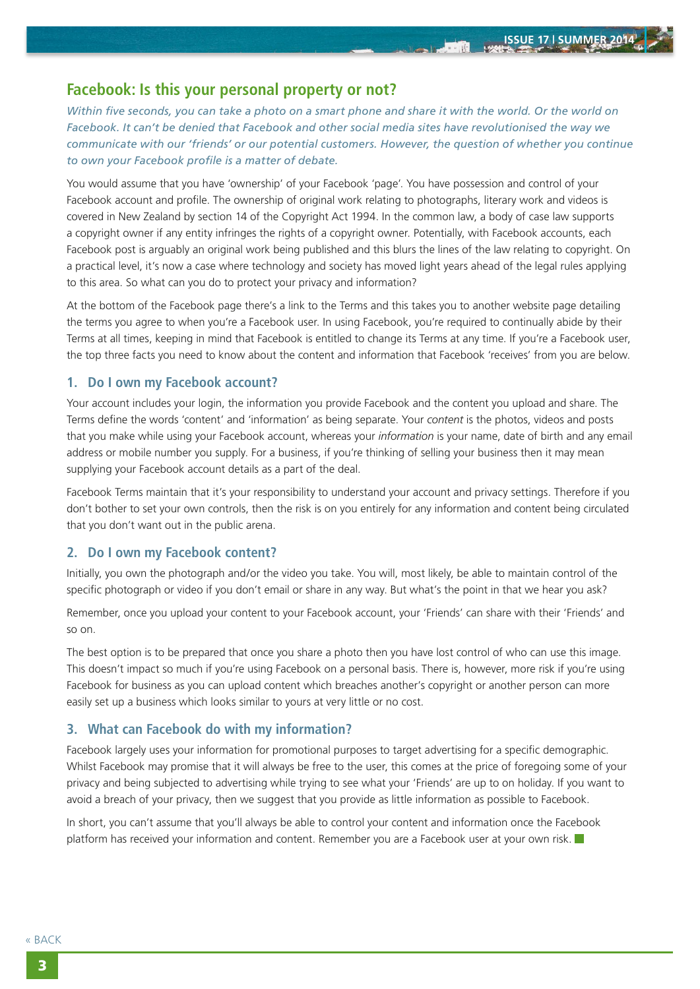**ATOMIC** 

# <span id="page-2-0"></span>**Facebook: Is this your personal property or not?**

*Within five seconds, you can take a photo on a smart phone and share it with the world. Or the world on Facebook. It can't be denied that Facebook and other social media sites have revolutionised the way we communicate with our 'friends' or our potential customers. However, the question of whether you continue to own your Facebook profile is a matter of debate.*

You would assume that you have 'ownership' of your Facebook 'page'. You have possession and control of your Facebook account and profile. The ownership of original work relating to photographs, literary work and videos is covered in New Zealand by section 14 of the Copyright Act 1994. In the common law, a body of case law supports a copyright owner if any entity infringes the rights of a copyright owner. Potentially, with Facebook accounts, each Facebook post is arguably an original work being published and this blurs the lines of the law relating to copyright. On a practical level, it's now a case where technology and society has moved light years ahead of the legal rules applying to this area. So what can you do to protect your privacy and information?

At the bottom of the Facebook page there's a link to the Terms and this takes you to another website page detailing the terms you agree to when you're a Facebook user. In using Facebook, you're required to continually abide by their Terms at all times, keeping in mind that Facebook is entitled to change its Terms at any time. If you're a Facebook user, the top three facts you need to know about the content and information that Facebook 'receives' from you are below.

### **1. Do I own my Facebook account?**

Your account includes your login, the information you provide Facebook and the content you upload and share. The Terms define the words 'content' and 'information' as being separate. Your *content* is the photos, videos and posts that you make while using your Facebook account, whereas your *information* is your name, date of birth and any email address or mobile number you supply. For a business, if you're thinking of selling your business then it may mean supplying your Facebook account details as a part of the deal.

Facebook Terms maintain that it's your responsibility to understand your account and privacy settings. Therefore if you don't bother to set your own controls, then the risk is on you entirely for any information and content being circulated that you don't want out in the public arena.

#### **2. Do I own my Facebook content?**

Initially, you own the photograph and/or the video you take. You will, most likely, be able to maintain control of the specific photograph or video if you don't email or share in any way. But what's the point in that we hear you ask?

Remember, once you upload your content to your Facebook account, your 'Friends' can share with their 'Friends' and so on.

The best option is to be prepared that once you share a photo then you have lost control of who can use this image. This doesn't impact so much if you're using Facebook on a personal basis. There is, however, more risk if you're using Facebook for business as you can upload content which breaches another's copyright or another person can more easily set up a business which looks similar to yours at very little or no cost.

#### **3. What can Facebook do with my information?**

Facebook largely uses your information for promotional purposes to target advertising for a specific demographic. Whilst Facebook may promise that it will always be free to the user, this comes at the price of foregoing some of your privacy and being subjected to advertising while trying to see what your 'Friends' are up to on holiday. If you want to avoid a breach of your privacy, then we suggest that you provide as little information as possible to Facebook.

In short, you can't assume that you'll always be able to control your content and information once the Facebook platform has received your information and content. Remember you are a Facebook user at your own risk.